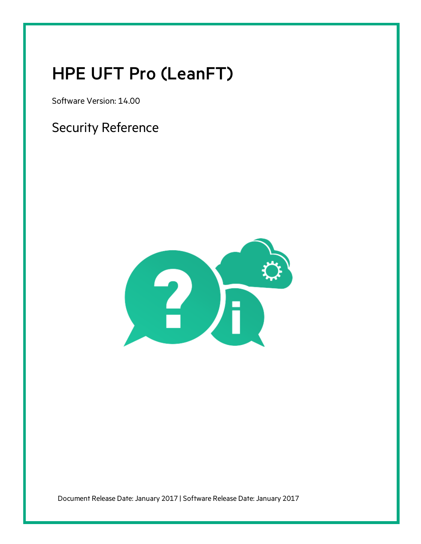# HPE UFT Pro (LeanFT)

Software Version: 14.00

Security Reference



Document Release Date: January 2017 | Software Release Date: January 2017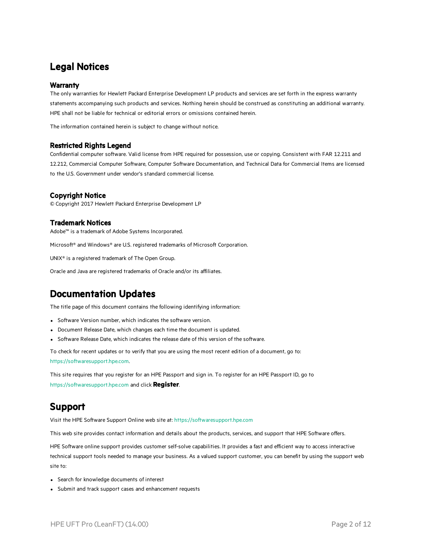### Legal Notices

### **Warranty**

The only warranties for Hewlett Packard Enterprise Development LP products and services are set forth in the express warranty statements accompanying such products and services. Nothing herein should be construed as constituting an additional warranty. HPE shall not be liable for technical or editorial errors or omissions contained herein.

The information contained herein is subject to change without notice.

#### Restricted Rights Legend

Confidential computer software. Valid license from HPE required for possession, use or copying. Consistent with FAR 12.211 and 12.212, Commercial Computer Software, Computer Software Documentation, and Technical Data for Commercial Items are licensed to the U.S. Government under vendor's standard commercial license.

### Copyright Notice

© Copyright 2017 Hewlett Packard Enterprise Development LP

### Trademark Notices

Adobe™ is a trademark of Adobe Systems Incorporated.

Microsoft® and Windows® are U.S. registered trademarks of Microsoft Corporation.

UNIX® is a registered trademark of The Open Group.

Oracle and Java are registered trademarks of Oracle and/or its affiliates.

### Documentation Updates

The title page of this document contains the following identifying information:

- Software Version number, which indicates the software version.
- Document Release Date, which changes each time the document is updated.
- Software Release Date, which indicates the release date of this version of the software.

To check for recent updates or to verify that you are using the most recent edition of a document, go to: [https://softwaresupport.hpe.com.](https://softwaresupport.hpe.com/)

This site requires that you register for an HPE Passport and sign in. To register for an HPE Passport ID, go to [https://softwaresupport.hpe.com](https://softwaresupport.hpe.com/) and click **Register**.

### Support

Visit the HPE Software Support Online web site at: [https://softwaresupport.hpe.com](https://softwaresupport.hpe.com/)

This web site provides contact information and details about the products, services, and support that HPE Software offers.

HPE Software online support provides customer self-solve capabilities. It provides a fast and efficient way to access interactive technical support tools needed to manage your business. As a valued support customer, you can benefit by using the support web site to:

- Search for knowledge documents of interest
- Submit and track support cases and enhancement requests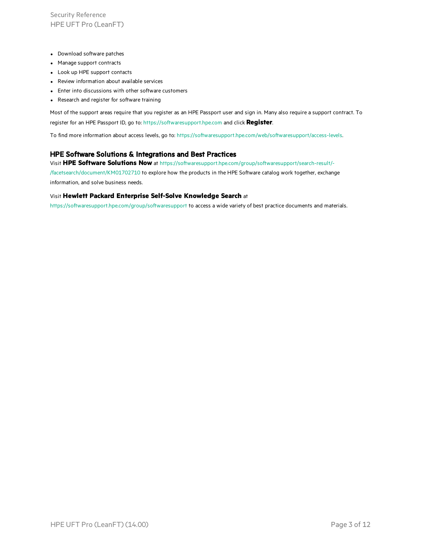Security Reference HPE UFT Pro (LeanFT)

- Download software patches
- Manage support contracts
- Look up HPE support contacts
- Review information about available services
- Enter into discussions with other software customers
- Research and register for software training

Most of the support areas require that you register as an HPE Passport user and sign in. Many also require a support contract. To register for an HPE Passport ID, go to: [https://softwaresupport.hpe.com](https://softwaresupport.hpe.com/) and click **Register**.

To find more information about access levels, go to: <https://softwaresupport.hpe.com/web/softwaresupport/access-levels>.

#### HPE Software Solutions & Integrations and Best Practices

Visit **HPE Software Solutions Now** at [https://softwaresupport.hpe.com/group/softwaresupport/search-result/-](https://softwaresupport.hpe.com/group/softwaresupport/search-result/-/facetsearch/document/KM01702710)

[/facetsearch/document/KM01702710](https://softwaresupport.hpe.com/group/softwaresupport/search-result/-/facetsearch/document/KM01702710) to explore how the products in the HPE Software catalog work together, exchange information, and solve business needs.

#### Visit **Hewlett Packard Enterprise Self-Solve Knowledge Search** at

[https://softwaresupport.hpe.com/group/softwaresupport](https://softwaresupport.hpe.com/group/softwaresupport/) to access a wide variety of best practice documents and materials.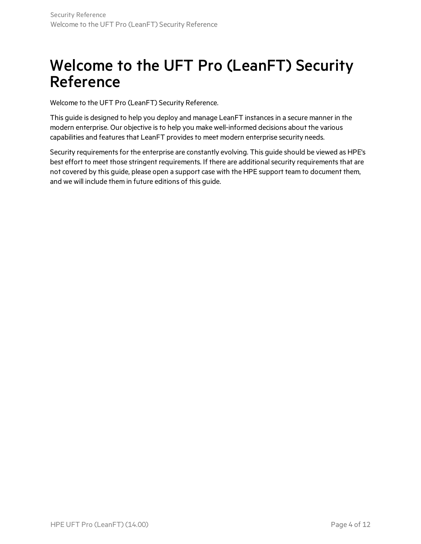## Welcome to the UFT Pro (LeanFT) Security Reference

Welcome to the UFT Pro (LeanFT) Security Reference.

This guide is designed to help you deploy and manage LeanFT instancesin a secure manner in the modern enterprise. Our objective is to help you make well-informed decisions about the various capabilities and features that LeanFT provides to meet modern enterprise security needs.

Security requirements for the enterprise are constantly evolving. This guide should be viewed as HPE's best effort to meet those stringent requirements. If there are additional security requirements that are not covered by this guide, please open a support case with the HPE support team to document them, and we will include them in future editions of this guide.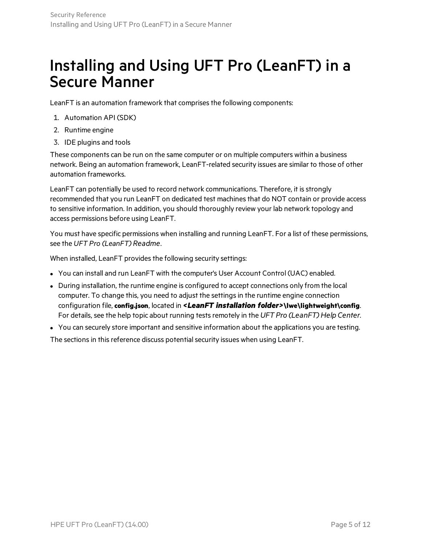## Installing and Using UFT Pro (LeanFT) in a Secure Manner

LeanFT is an automation framework that comprises the following components:

- 1. Automation API (SDK)
- 2. Runtime engine
- 3. IDE plugins and tools

These components can be run on the same computer or on multiple computers within a business network. Being an automation framework, LeanFT-related security issues are similar to those of other automation frameworks.

LeanFT can potentially be used to record network communications. Therefore, it is strongly recommended that you run LeanFT on dedicated test machines that do NOT contain or provide access to sensitive information. In addition, you should thoroughly review your lab network topology and access permissions before using LeanFT.

You must have specific permissions when installing and running LeanFT. For a list of these permissions, see the *UFT Pro (LeanFT) Readme*.

When installed, LeanFT provides the following security settings:

- You can install and run LeanFT with the computer's User Account Control (UAC) enabled.
- During installation, the runtime engine is configured to accept connections only from the local computer. To change this, you need to adjust the settingsin the runtime engine connection configuration file, **config.json**, located in *<LeanFT installation folder>***\lwe\lightweight\config**. For details, see the help topic about running tests remotely in the UFT Pro (LeanFT) Help Center.
- You can securely store important and sensitive information about the applications you are testing.

The sections in this reference discuss potential security issues when using LeanFT.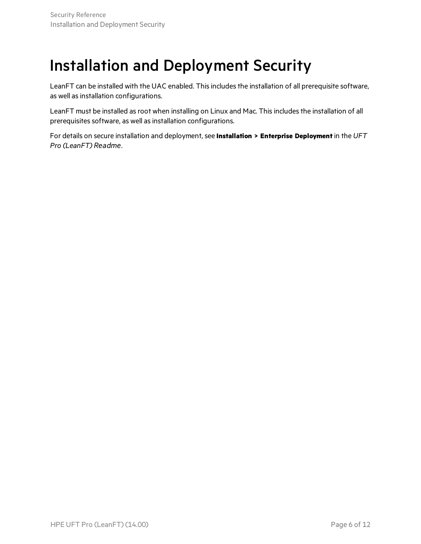# Installation and Deployment Security

LeanFT can be installed with the UAC enabled. This includes the installation of all prerequisite software, as well as installation configurations.

LeanFT must be installed as root when installing on Linux and Mac. This includes the installation of all prerequisites software, as well as installation configurations.

For details on secure installation and deployment, see **Installation > Enterprise Deployment** in the *UFT Pro (LeanFT) Readme*.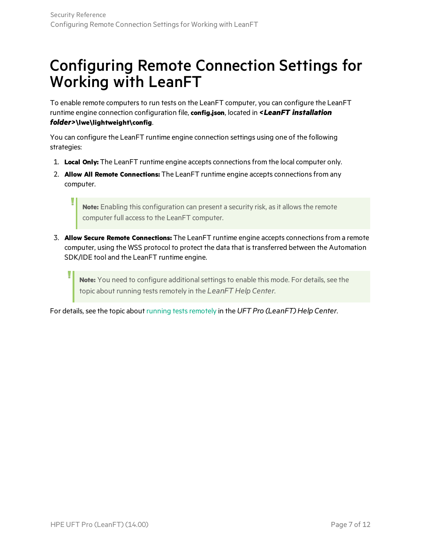# Configuring Remote Connection Settings for Working with LeanFT

To enable remote computers to run tests on the LeanFT computer, you can configure the LeanFT runtime engine connection configuration file, **config.json**, located in *<LeanFT installation folder>***\lwe\lightweight\config**.

You can configure the LeanFT runtime engine connection settings using one of the following strategies:

- 1. **Local Only:** The LeanFT runtime engine accepts connectionsfrom the local computer only.
- 2. **Allow All Remote Connections:** The LeanFT runtime engine accepts connectionsfrom any computer.

Note: Enabling this configuration can present a security risk, as it allows the remote computer full access to the LeanFT computer.

3. **Allow Secure Remote Connections:** The LeanFT runtime engine accepts connectionsfrom a remote computer, using the WSS protocol to protect the data that istransferred between the Automation SDK/IDE tool and the LeanFT runtime engine.

Note: You need to configure additional settings to enable this mode. For details, see the topic about running tests remotely in the LeanFT Help Center.

For details, see the topic about running tests remotely in the UFT Pro (LeanFT) Help Center.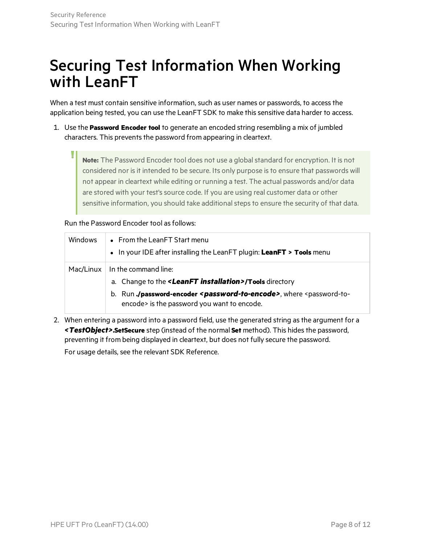## Securing Test Information When Working with LeanFT

When a test must contain sensitive information, such as user names or passwords, to access the application being tested, you can use the LeanFT SDK to make this sensitive data harder to access.

1. Use the **Password Encoder tool** to generate an encoded string resembling a mix of jumbled characters. This prevents the password from appearing in cleartext.

Note: The Password Encoder tool does not use a global standard for encryption. It is not considered nor is it intended to be secure. Its only purpose is to ensure that passwords will not appear in cleartext while editing or running a test. The actual passwords and/or data are stored with your test's source code. If you are using real customer data or other sensitive information, you should take additional steps to ensure the security of that data.

### Run the Password Encoder tool as follows:

| <b>Windows</b> | • From the LeanFT Start menu<br>• In your IDE after installing the LeanFT plugin: LeanFT > Tools menu                                                                                                                                                                        |
|----------------|------------------------------------------------------------------------------------------------------------------------------------------------------------------------------------------------------------------------------------------------------------------------------|
|                | $Mac/Linux$ In the command line:<br>a. Change to the <b><leanft installation="">/Tools</leanft></b> directory<br>b. Run./password-encoder <password-to-encode>, where <password-to-<br>encode&gt; is the password you want to encode.</password-to-<br></password-to-encode> |

2. When entering a password into a password field, use the generated string asthe argument for a *<TestObject>***.SetSecure** step (instead of the normal **Set** method). This hidesthe password, preventing it from being displayed in cleartext, but does not fully secure the password.

For usage details, see the relevant SDK Reference.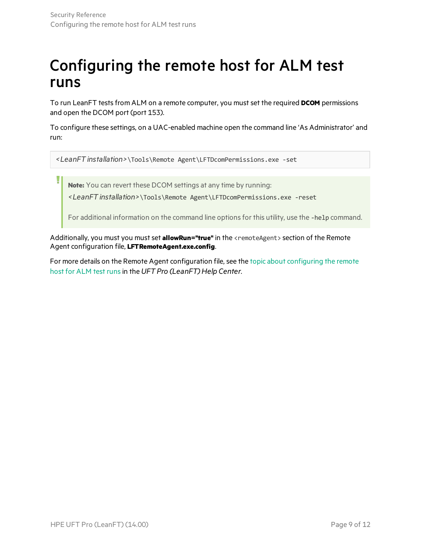# Configuring the remote host for ALM test runs

To run LeanFT testsfrom ALM on a remote computer, you mustset the required **DCOM** permissions and open the DCOM port (port 153).

To configure these settings, on a UAC-enabled machine open the command line 'As Administrator' and run:

*<LeanFT installation>*\Tools\Remote Agent\LFTDcomPermissions.exe -set

**Note:** You can revert these DCOM settings at any time by running:

*<LeanFT installation>*\Tools\Remote Agent\LFTDcomPermissions.exe -reset

For additional information on the command line options for this utility, use the -help command.

Additionally, you must you must set **allowRun="true"** in the <remoteAgent> section of the Remote Agent configuration file, **LFTRemoteAgent.exe.config**.

For more details on the Remote Agent configuration file, see the topic about [configuring](http://leanft-help.saas.hpe.com/en/14.00/HelpCenter/Content/ALMintegration/LFT-ALM_ConfigureHost.htm) the remote host for [ALM](http://leanft-help.saas.hpe.com/en/14.00/HelpCenter/Content/ALMintegration/LFT-ALM_ConfigureHost.htm) test runs in the *UFT Pro* (LeanFT) Help Center.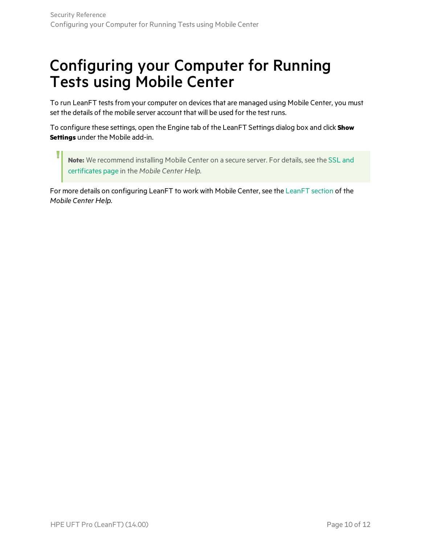# Configuring your Computer for Running Tests using Mobile Center

To run LeanFT tests from your computer on devices that are managed using Mobile Center, you must set the details of the mobile server account that will be used for the test runs.

To configure these settings, open the Engine tab of the LeanFT Settings dialog box and click **Show Settings** under the Mobile add-in.

**Note:** We recommend installing Mobile Center on a secure server. For details, see the [SSL](http://mobilecenter.hpe.com/docs/en/2.20/Content/LFT-MC/LFT_MC_SSL.htm) and [certificates](http://mobilecenter.hpe.com/docs/en/2.20/Content/LFT-MC/LFT_MC_SSL.htm) page in the *Mobile Center Help*.

For more details on configuring LeanFT to work with Mobile Center, see the [LeanFT](http://mobilecenter.hpe.com/docs/en/2.20/Content/LFT-MC/LFT_MC_Intro.htm) section of the *Mobile Center Help*.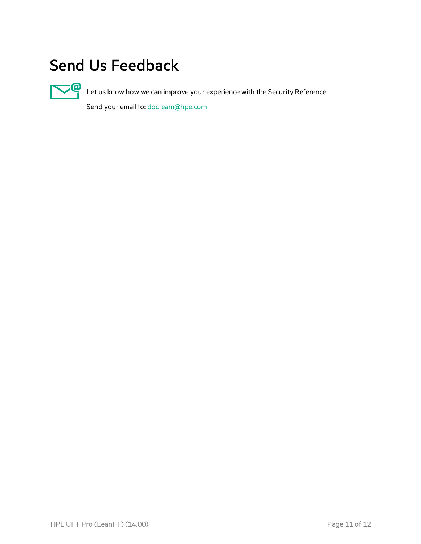# Send Us Feedback



Let us know how we can improve your experience with the Security Reference.

Send your email to: [docteam@hpe.com](mailto:docteam@hpe.com?subject=Feedback on Security Reference (UFT Pro (LeanFT) 14.00))